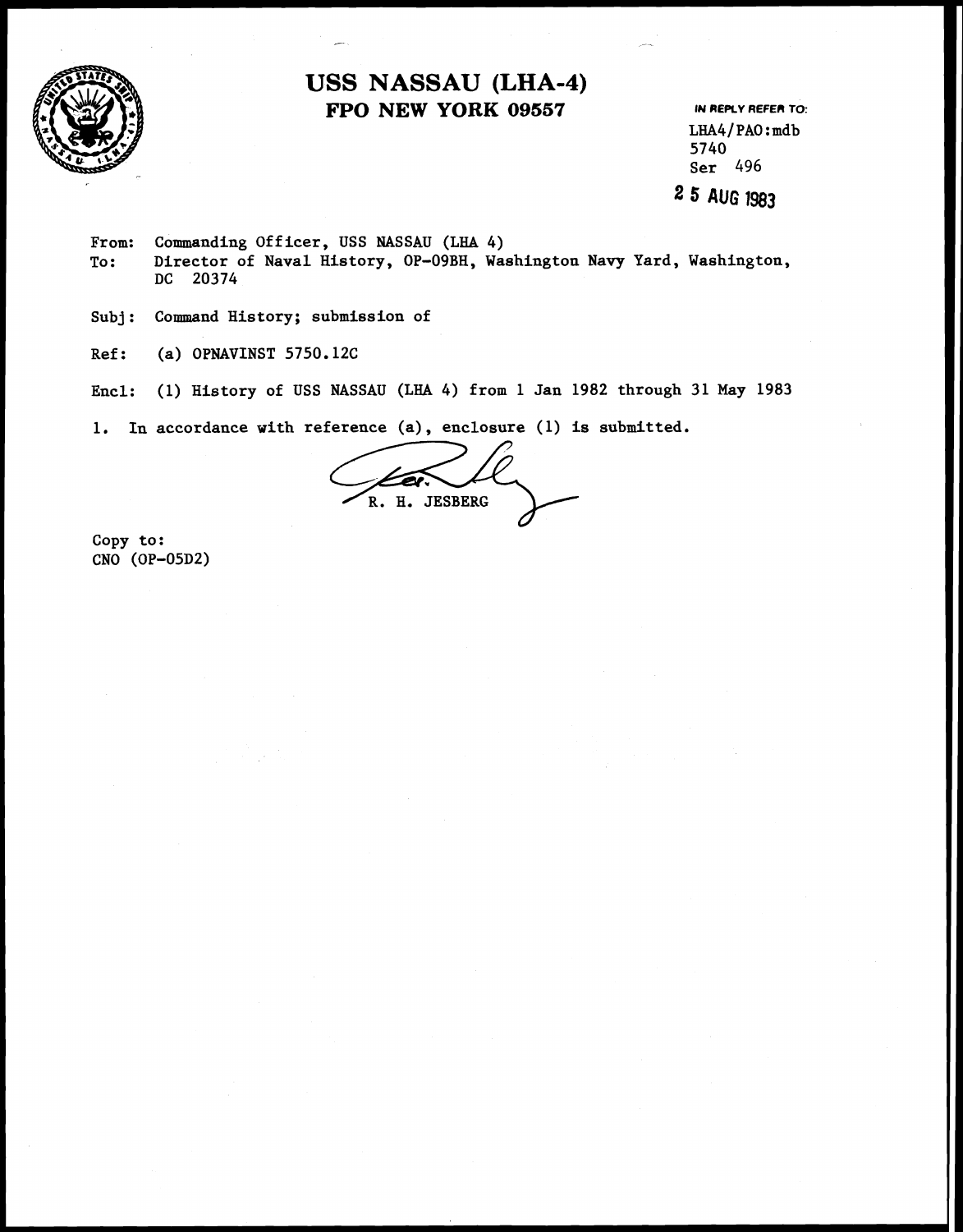

## **USS NASSAU (LHA-4) FPO NEW YORK 09557 IN REPLY REFER TO:**

LHA4/PAO:mdb 5740 Ser 496

**2 5 AUG s3** 

From: Commanding Officer, USS NASSAU (LHA 4) To: Director of Naval History, OP-09BH, Washington Navy Yard, Washington, DC 20374

Subj: Command History; submission of

Ref: **(a)** OPNAVINST 5750.12C

Encl: (1) History of USS NASSAU **(LHA** 4) from 1 **Jan** 1982 through 31 May 1983

1. In accordance vith reference **(a),** enclosure (1) is submitted.

R. H. JESBERG

Copy to: CNO (OP-05D2)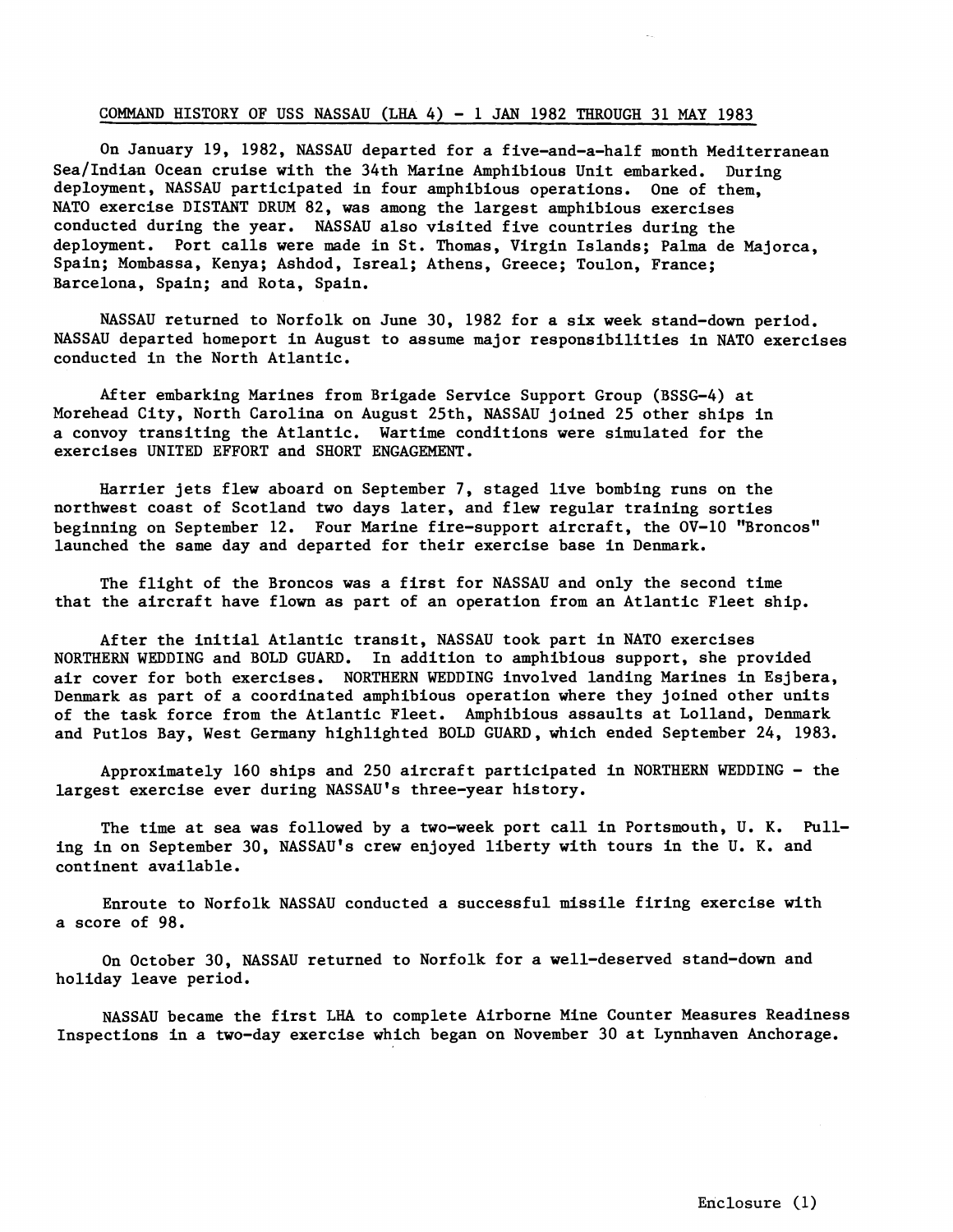## COMMAND HISTORY OF USS NASSAU (LHA 4) - 1 JAN 1982 THROUGH 31 MAY 1983

On January 19, 1982, NASSAU departed for a five-and-a-half month Mediterranean Sea/Indian Ocean cruise with the 34th Marine Amphibious Unit embarked. During deployment, NASSAU participated in four amphibious operations. One of them, NATO exercise DISTANT DRUM 82, was among the largest amphibious exercises conducted during the year. NASSAU also visited five countries during the deployment. Port calls were made in St. Thomas, Virgin Islands; Palma de Majorca, Spain; Mombassa, Kenya; Ashdod, Isreal; Athens, Greece; Toulon, France; Barcelona, Spain; and Rota, Spain.

NASSAU returned to Norfolk on June 30, 1982 for a six week stand-down period. NASSAU departed homeport in August to assume major responsibilities in NATO exercises conducted in the North Atlantic.

After embarking Marines from Brigade Service Support Group (BSSG4) at Morehead City, North Carolina on August 25th, NASSAU joined 25 other ships in a convoy transiting the Atlantic. Wartime conditions were simulated for the exercises UNITED EFFORT and SHORT ENGAGEMENT.

Harrier jets flew aboard on September 7, staged live bombing runs on the northwest coast of Scotland two days later, and flew regular training sorties beginning on September 12. Four Marine fire-support aircraft, the OV-10 "Broncos" launched the same day and departed for their exercise base in Denmark.

The flight of the Broncos was a first for NASSAU and only the second time that the aircraft have flown as part of an operation from an Atlantic Fleet ship.

After the initial Atlantic transit, NASSAU took part in NATO exercises NORTHERN WEDDING and BOLD GUARD. In addition to amphibious support, she provided air cover for both exercises. NORTHERN WEDDING involved landing Marines in Esjbera, Denmark as part of a coordinated amphibious operation where they joined other units of the task force from the Atlantic Fleet. Amphibious assaults at Lolland, Denmark and Putlos Bay, West Germany highlighted BOLD GUARD, which ended September 24, 1983.

Approximately 160 ships and 250 aircraft participated in NORTHERN WEDDING - the largest exercise ever during NASSAU'S three-year history.

The time at sea was followed by a two-week port call in Portsmouth, U. K. Pulling in on September 30, NASSAU'S crew enjoyed liberty with tours in the U. K. and continent available.

Enroute to Norfolk NASSAU conducted a successful missile firing exercise with a score of 98.

On October 30, NASSAU returned to Norfolk for a well-deserved stand-down and holiday leave period.

NASSAU became the first LHA to complete Airborne Mine Counter Measures Readiness Inspections in a two-day exercise which began on November 30 at Lynnhaven Anchorage.